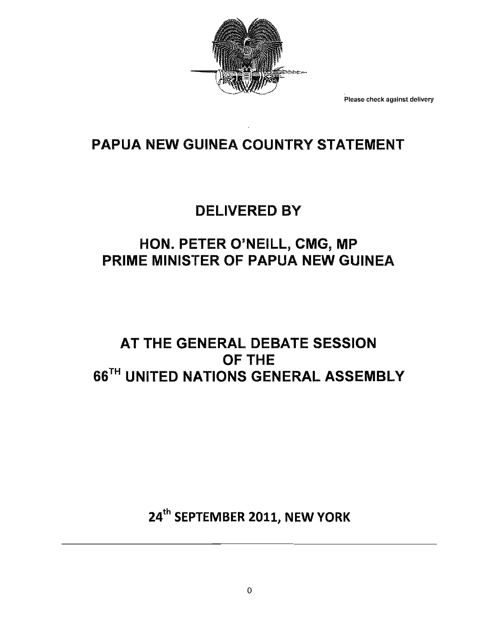

Please check **against delivery**

# PAPUA NEW GUINEA COUNTRY STATEMENT

## DELIVERED BY

# HON. PETER O'NEill, CMG, MP PRIME MINISTER OF PAPUA NEW GUINEA

## AT THE GENERAL DEBATE SESSION OFTHE **66TH UNITED NATIONS GENERAL ASSEMBLY**

24th **SEPTEMBER 2011, NEW YORK**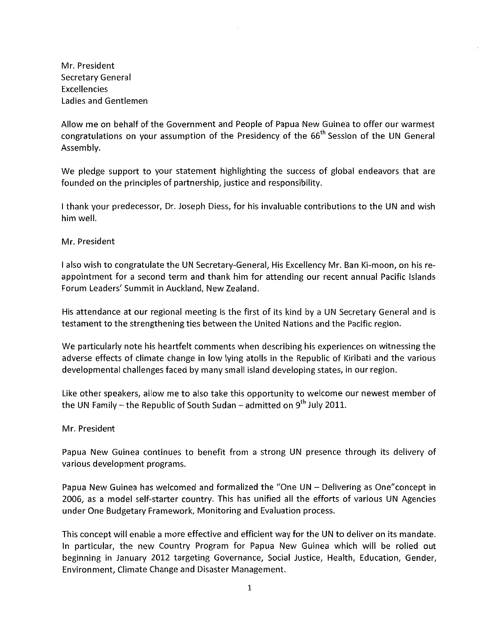Mr. President Secretary General Excellencies Ladies and Gentlemen

Allow me on behalf of the Government and People of Papua New Guinea to offer our warmest congratulations on your assumption of the Presidency of the 66<sup>th</sup> Session of the UN General Assembly.

We pledge support to your statement highlighting the success of global endeavors that are founded on the principles of partnership, justice and responsibility.

I thank your predecessor, Dr. Joseph Diess, for his invaluable contributions to the UN and wish him well.

Mr. President

I also wish to congratulate the UN Secretary-General, His Excellency Mr. Ban Ki-moon, on his reappointment for a second term and thank him for attending our recent annual Pacific Islands Forum Leaders' Summit in Auckland, New Zealand.

His attendance at our regional meeting is the first of its kind by a UN Secretary General and is testament to the strengthening ties between the United Nations and the Pacific region.

We particularly note his heartfelt comments when describing his experiences on witnessing the adverse effects of climate change in low lying atolls in the Republic of Kiribati and the various developmental challenges faced by many small island developing states, in our region.

Like other speakers, allow me to also take this opportunity to welcome our newest member of the UN Family - the Republic of South Sudan - admitted on  $9^{th}$  July 2011.

Mr. President

Papua New Guinea continues to benefit from a strong UN presence through its delivery of various development programs.

Papua New Guinea has welcomed and formalized the "One UN - Delivering as One"concept in 2006, as a model self-starter country. This has unified all the efforts of various UN Agencies under One Budgetary Framework, Monitoring and Evaluation process.

This concept will enable a more effective and efficient way for the UN to deliver on its mandate. In particular, the new Country Program for Papua New Guinea which will be rolled out beginning in January 2012 targeting Governance, Social Justice, Health, Education, Gender, Environment, Climate Change and Disaster Management.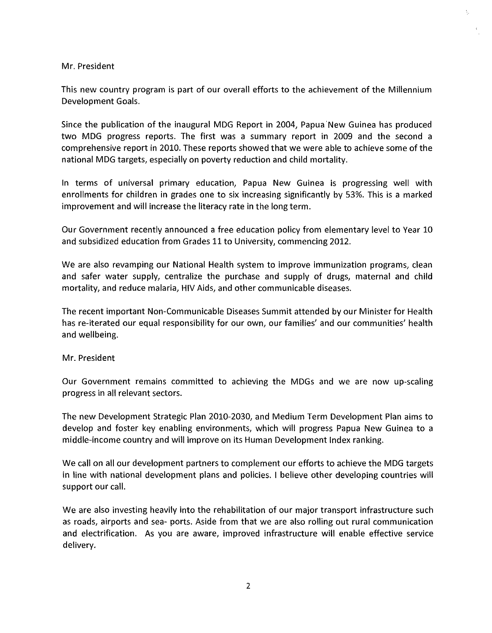#### Mr. President

This new country program is part of our overall efforts to the achievement of the Millennium Development Goals.

ţ.

Since the publication of the inaugural MDG Report in 2004, Papua 'New Guinea has produced two MDG progress reports. The first was a summary report in 2009 and the second a comprehensive report in 2010. These reports showed that we were able to achieve some of the national MDG targets, especially on poverty reduction and child mortality.

In terms of universal primary education, Papua New Guinea is progressing well with enrollments for children in grades one to six increasing significantly by 53%. This is a marked improvement and will increase the literacy rate in the long term.

Our Government recently announced a free education policy from elementary level to Year 10 and subsidized education from Grades 11 to University, commencing 2012.

We are also revamping our National Health system to improve immunization programs, clean and safer water supply, centralize the purchase and supply of drugs, maternal and child mortality, and reduce malaria, HIV Aids, and other communicable diseases.

The recent important Non-Communicable Diseases Summit attended by our Minister for Health has re-iterated our equal responsibility for our own, our families' and our communities' health and wellbeing.

#### Mr. President

Our Government remains committed to achieving the MDGs and we are now up-scaling progress in all relevant sectors.

The new Development Strategic Plan 2010-2030, and Medium Term Development Plan aims to develop and foster key enabling environments, which will progress Papua New Guinea to a middle-income country and will improve on its Human Development Index ranking.

We call on all our development partners to complement our efforts to achieve the MDG targets in line with national development plans and policies. I believe other developing countries will support our call.

We are also investing heavily into the rehabilitation of our major transport infrastructure such as roads, airports and sea- ports. Aside from that we are also rolling out rural communication and electrification. As you are aware, improved infrastructure will enable effective service delivery.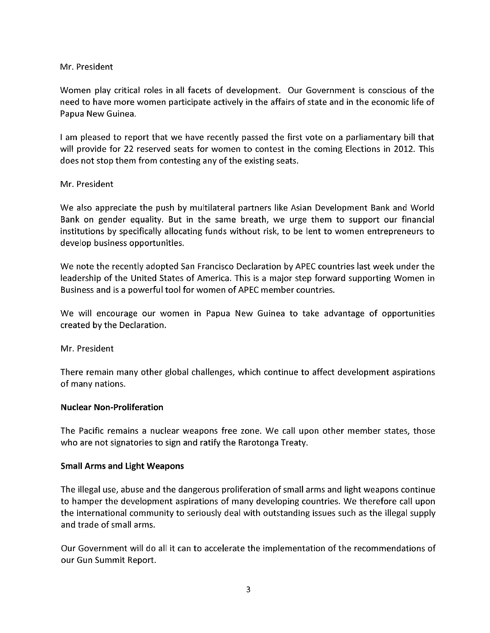## Mr. President

Women play critical roles in all facets of development. Our Government is conscious of the need to have more women participate actively in the affairs of state and in the economic life of Papua New Guinea.

I am pleased to report that we have recently passed the first vote on a parliamentary bill that will provide for 22 reserved seats for women to contest in the coming Elections in 2012. This does not stop them from contesting any of the existing seats.

## Mr. President

We also appreciate the push by multilateral partners like Asian Development Bank and World Bank on gender equality. But in the same breath, we urge them to support our financial institutions by specifically allocating funds without risk, to be lent to women entrepreneurs to develop business opportunities.

We note the recently adopted San Francisco Declaration by APEC countries last week under the leadership of the United States of America. This is a major step forward supporting Women in Business and is a powerful tool for women of APEC member countries.

We will encourage our women in Papua New Guinea to take advantage of opportunities created by the Declaration.

Mr. President

There remain many other global challenges, which continue to affect development aspirations of many nations.

## Nuclear Non-Proliferation

The Pacific remains a nuclear weapons free zone. We call upon other member states, those who are not signatories to sign and ratify the Rarotonga Treaty.

## Small Arms **and** Light Weapons

The illegal use, abuse and the dangerous proliferation of small arms and light weapons continue to hamper the development aspirations of many developing countries. We therefore call upon the international community to seriously deal with outstanding issues such as the illegal supply and trade of small arms.

Our Government will do all it can to accelerate the implementation ofthe recommendations of our Gun Summit Report.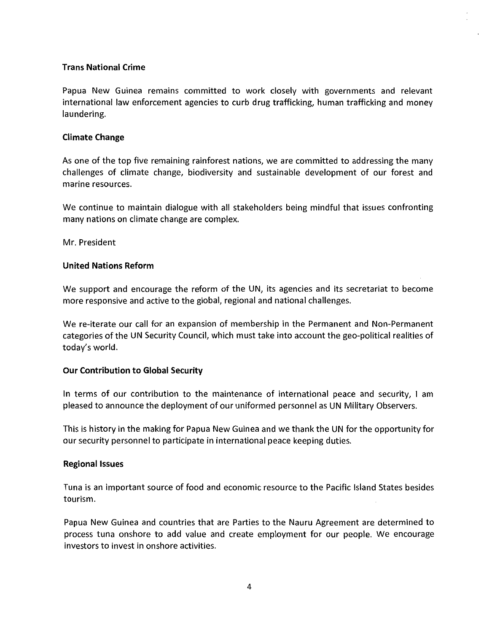## Trans National Crime

Papua New Guinea remains committed to work closely with governments and relevant international law enforcement agencies to curb drug trafficking, human trafficking and money laundering.

#### Climate Change

As one of the top five remaining rainforest nations, we are committed to addressing the many challenges of climate change, biodiversity and sustainable development of our forest and marine resources.

We continue to maintain dialogue with all stakeholders being mindful that issues confronting many nations on climate change are complex.

Mr. President

### United Nations Reform

We support and encourage the reform of the UN, its agencies and its secretariat to become more responsive and active to the global, regional and national challenges.

We re-iterate our call for an expansion of membership in the Permanent and Non-Permanent categories of the UN Security Council, which must take into account the geo-political realities of today's world.

#### Our Contribution to Global Security

In terms of our contribution to the maintenance of international peace and security, I am pleased to announce the deployment of our uniformed personnel as UN Military Observers.

This is history in the making for Papua New Guinea and we thank the UN for the opportunity for our security personnel to participate in international peace keeping duties.

#### Regional Issues

Tuna is an important source of food and economic resource to the Pacific Island States besides tourism.

Papua New Guinea and countries that are Parties to the Nauru Agreement are determined to process tuna onshore to add value and create employment for our people. We encourage investors to invest in onshore activities.